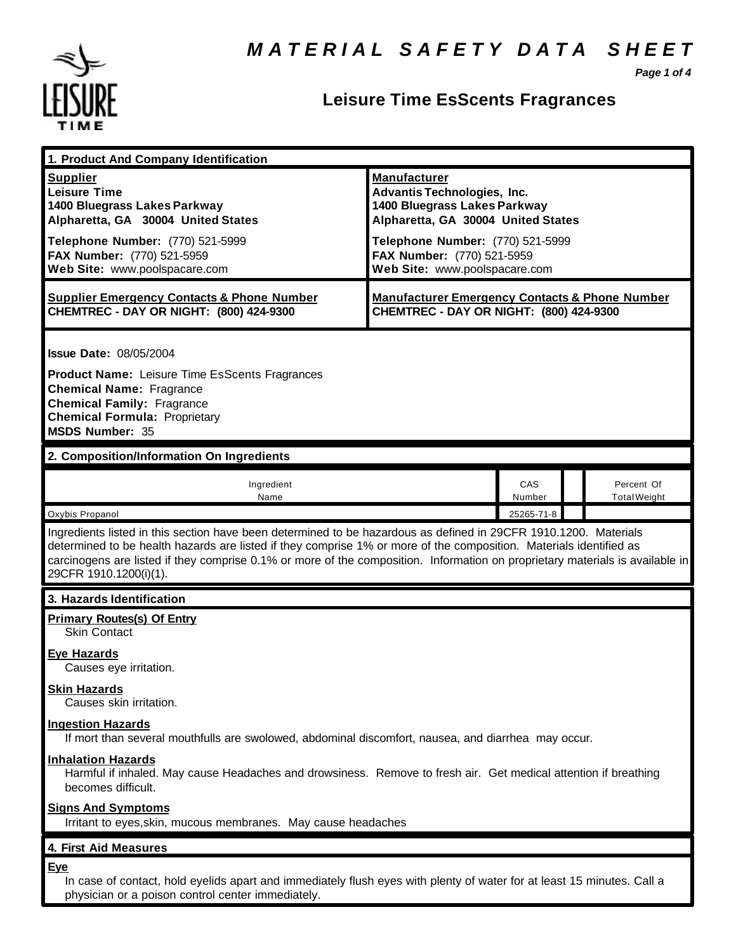

## **Leisure Time EsScents Fragrances**

*Page 1 of 4*

| 1. Product And Company Identification                                                                                                                                                                                                                                                                                                                                                             |                                                                                                      |               |  |                                   |  |
|---------------------------------------------------------------------------------------------------------------------------------------------------------------------------------------------------------------------------------------------------------------------------------------------------------------------------------------------------------------------------------------------------|------------------------------------------------------------------------------------------------------|---------------|--|-----------------------------------|--|
|                                                                                                                                                                                                                                                                                                                                                                                                   |                                                                                                      |               |  |                                   |  |
| <b>Supplier</b>                                                                                                                                                                                                                                                                                                                                                                                   | <b>Manufacturer</b>                                                                                  |               |  |                                   |  |
| <b>Leisure Time</b>                                                                                                                                                                                                                                                                                                                                                                               | <b>Advantis Technologies, Inc.</b>                                                                   |               |  |                                   |  |
| 1400 Bluegrass Lakes Parkway                                                                                                                                                                                                                                                                                                                                                                      | 1400 Bluegrass Lakes Parkway                                                                         |               |  |                                   |  |
| Alpharetta, GA 30004 United States                                                                                                                                                                                                                                                                                                                                                                | Alpharetta, GA 30004 United States                                                                   |               |  |                                   |  |
| Telephone Number: (770) 521-5999                                                                                                                                                                                                                                                                                                                                                                  | Telephone Number: (770) 521-5999                                                                     |               |  |                                   |  |
| FAX Number: (770) 521-5959                                                                                                                                                                                                                                                                                                                                                                        | FAX Number: (770) 521-5959                                                                           |               |  |                                   |  |
| Web Site: www.poolspacare.com                                                                                                                                                                                                                                                                                                                                                                     | Web Site: www.poolspacare.com                                                                        |               |  |                                   |  |
| <b>Supplier Emergency Contacts &amp; Phone Number</b><br>CHEMTREC - DAY OR NIGHT: (800) 424-9300                                                                                                                                                                                                                                                                                                  | <b>Manufacturer Emergency Contacts &amp; Phone Number</b><br>CHEMTREC - DAY OR NIGHT: (800) 424-9300 |               |  |                                   |  |
| <b>Issue Date: 08/05/2004</b>                                                                                                                                                                                                                                                                                                                                                                     |                                                                                                      |               |  |                                   |  |
| <b>Product Name:</b> Leisure Time EsScents Fragrances<br><b>Chemical Name: Fragrance</b>                                                                                                                                                                                                                                                                                                          |                                                                                                      |               |  |                                   |  |
| <b>Chemical Family: Fragrance</b><br><b>Chemical Formula: Proprietary</b><br><b>MSDS Number: 35</b>                                                                                                                                                                                                                                                                                               |                                                                                                      |               |  |                                   |  |
| 2. Composition/Information On Ingredients                                                                                                                                                                                                                                                                                                                                                         |                                                                                                      |               |  |                                   |  |
| Ingredient<br>Name                                                                                                                                                                                                                                                                                                                                                                                |                                                                                                      | CAS<br>Number |  | Percent Of<br><b>Total Weight</b> |  |
| Oxybis Propanol                                                                                                                                                                                                                                                                                                                                                                                   |                                                                                                      | 25265-71-8    |  |                                   |  |
| Ingredients listed in this section have been determined to be hazardous as defined in 29CFR 1910.1200. Materials<br>determined to be health hazards are listed if they comprise 1% or more of the composition. Materials identified as<br>carcinogens are listed if they comprise 0.1% or more of the composition. Information on proprietary materials is available in<br>29CFR 1910.1200(i)(1). |                                                                                                      |               |  |                                   |  |
| 3. Hazards Identification                                                                                                                                                                                                                                                                                                                                                                         |                                                                                                      |               |  |                                   |  |
| <b>Primary Routes(s) Of Entry</b><br><b>Skin Contact</b>                                                                                                                                                                                                                                                                                                                                          |                                                                                                      |               |  |                                   |  |
| <b>Eye Hazards</b><br>Causes eye irritation.                                                                                                                                                                                                                                                                                                                                                      |                                                                                                      |               |  |                                   |  |
| <b>Skin Hazards</b><br>Causes skin irritation.                                                                                                                                                                                                                                                                                                                                                    |                                                                                                      |               |  |                                   |  |
| <b>Ingestion Hazards</b><br>If mort than several mouthfulls are swolowed, abdominal discomfort, nausea, and diarrhea may occur.                                                                                                                                                                                                                                                                   |                                                                                                      |               |  |                                   |  |
| <b>Inhalation Hazards</b><br>Harmful if inhaled. May cause Headaches and drowsiness. Remove to fresh air. Get medical attention if breathing<br>becomes difficult.                                                                                                                                                                                                                                |                                                                                                      |               |  |                                   |  |
| <b>Signs And Symptoms</b><br>Irritant to eyes, skin, mucous membranes. May cause headaches                                                                                                                                                                                                                                                                                                        |                                                                                                      |               |  |                                   |  |
| 4. First Aid Measures                                                                                                                                                                                                                                                                                                                                                                             |                                                                                                      |               |  |                                   |  |
| <b>Eye</b>                                                                                                                                                                                                                                                                                                                                                                                        |                                                                                                      |               |  |                                   |  |
| In case of contact, hold eyelids apart and immediately flush eyes with plenty of water for at least 15 minutes. Call a<br>physician or a poison control center immediately.                                                                                                                                                                                                                       |                                                                                                      |               |  |                                   |  |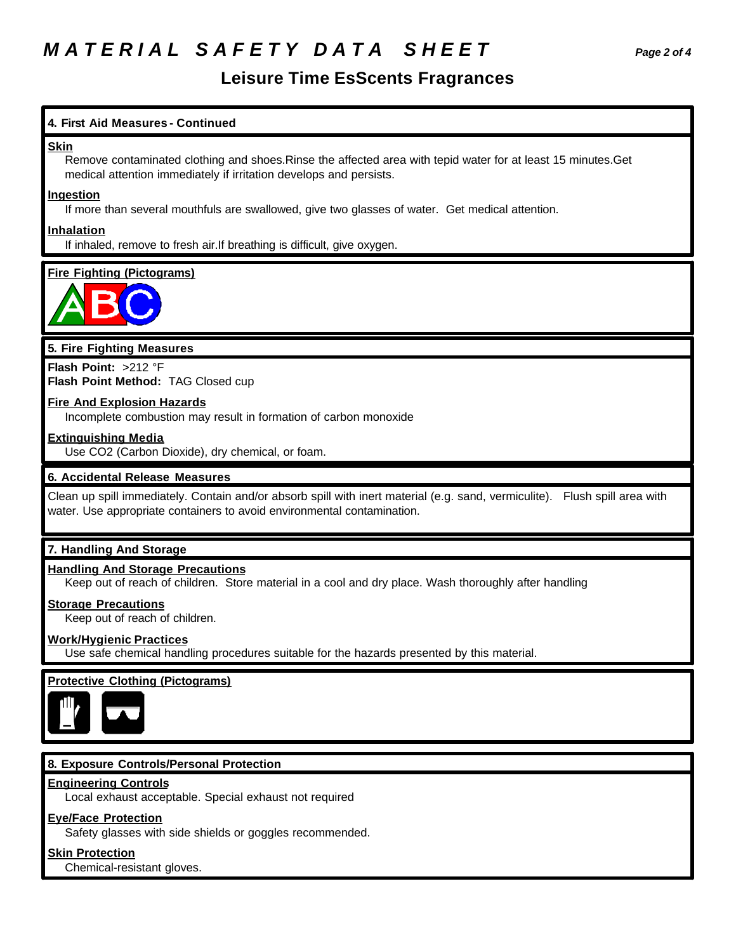## *M A T E R I A L S A F E T Y D A T A S H E E T Page 2 of 4*

## **Leisure Time EsScents Fragrances**

## **4. First Aid Measures - Continued**

#### **Skin**

Remove contaminated clothing and shoes.Rinse the affected area with tepid water for at least 15 minutes.Get medical attention immediately if irritation develops and persists.

### **Ingestion**

If more than several mouthfuls are swallowed, give two glasses of water. Get medical attention.

### **Inhalation**

If inhaled, remove to fresh air.If breathing is difficult, give oxygen.

## **Fire Fighting (Pictograms)**



## **5. Fire Fighting Measures**

**Flash Point:** >212 °F **Flash Point Method:** TAG Closed cup

## **Fire And Explosion Hazards**

Incomplete combustion may result in formation of carbon monoxide

## **Extinguishing Media**

Use CO2 (Carbon Dioxide), dry chemical, or foam.

## **6. Accidental Release Measures**

Clean up spill immediately. Contain and/or absorb spill with inert material (e.g. sand, vermiculite). Flush spill area with water. Use appropriate containers to avoid environmental contamination.

## **7. Handling And Storage**

#### **Handling And Storage Precautions**

Keep out of reach of children. Store material in a cool and dry place. Wash thoroughly after handling

## **Storage Precautions**

Keep out of reach of children.

## **Work/Hygienic Practices**

Use safe chemical handling procedures suitable for the hazards presented by this material.

## **Protective Clothing (Pictograms)**



## **8. Exposure Controls/Personal Protection**

#### **Engineering Controls**

Local exhaust acceptable. Special exhaust not required

## **Eye/Face Protection**

Safety glasses with side shields or goggles recommended.

#### **Skin Protection**

Chemical-resistant gloves.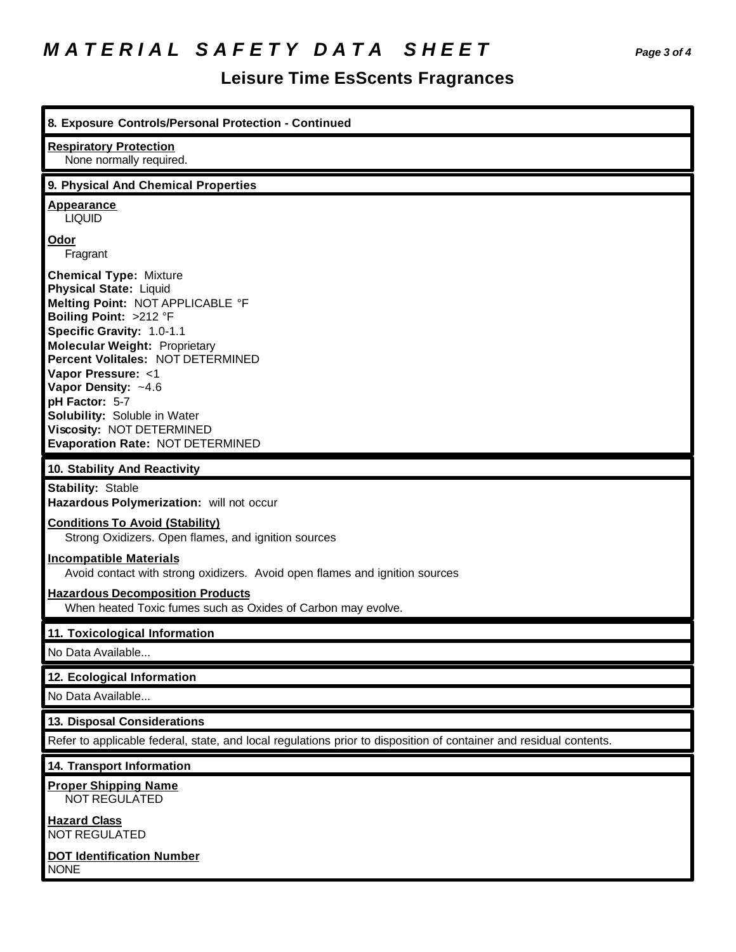# *M A T E R I A L S A F E T Y D A T A S H E E T Page 3 of 4*

## **Leisure Time EsScents Fragrances**

| 8. Exposure Controls/Personal Protection - Continued                                                                                                                                                                                                                                                                                                                                                                 |  |  |  |  |
|----------------------------------------------------------------------------------------------------------------------------------------------------------------------------------------------------------------------------------------------------------------------------------------------------------------------------------------------------------------------------------------------------------------------|--|--|--|--|
| <b>Respiratory Protection</b><br>None normally required.                                                                                                                                                                                                                                                                                                                                                             |  |  |  |  |
| 9. Physical And Chemical Properties                                                                                                                                                                                                                                                                                                                                                                                  |  |  |  |  |
| <b>Appearance</b><br><b>LIQUID</b>                                                                                                                                                                                                                                                                                                                                                                                   |  |  |  |  |
| Odor<br>Fragrant                                                                                                                                                                                                                                                                                                                                                                                                     |  |  |  |  |
| <b>Chemical Type: Mixture</b><br><b>Physical State: Liquid</b><br>Melting Point: NOT APPLICABLE °F<br>Boiling Point: >212 °F<br>Specific Gravity: 1.0-1.1<br><b>Molecular Weight: Proprietary</b><br><b>Percent Volitales: NOT DETERMINED</b><br>Vapor Pressure: <1<br>Vapor Density: ~4.6<br>pH Factor: 5-7<br>Solubility: Soluble in Water<br>Viscosity: NOT DETERMINED<br><b>Evaporation Rate: NOT DETERMINED</b> |  |  |  |  |
| 10. Stability And Reactivity                                                                                                                                                                                                                                                                                                                                                                                         |  |  |  |  |
| <b>Stability: Stable</b><br>Hazardous Polymerization: will not occur                                                                                                                                                                                                                                                                                                                                                 |  |  |  |  |
| <b>Conditions To Avoid (Stability)</b><br>Strong Oxidizers. Open flames, and ignition sources                                                                                                                                                                                                                                                                                                                        |  |  |  |  |
| <b>Incompatible Materials</b><br>Avoid contact with strong oxidizers. Avoid open flames and ignition sources                                                                                                                                                                                                                                                                                                         |  |  |  |  |
|                                                                                                                                                                                                                                                                                                                                                                                                                      |  |  |  |  |
| <b>Hazardous Decomposition Products</b><br>When heated Toxic fumes such as Oxides of Carbon may evolve.                                                                                                                                                                                                                                                                                                              |  |  |  |  |
| 11. Toxicological Information                                                                                                                                                                                                                                                                                                                                                                                        |  |  |  |  |
| No Data Available                                                                                                                                                                                                                                                                                                                                                                                                    |  |  |  |  |
| 12. Ecological Information                                                                                                                                                                                                                                                                                                                                                                                           |  |  |  |  |
| No Data Available                                                                                                                                                                                                                                                                                                                                                                                                    |  |  |  |  |
| 13. Disposal Considerations                                                                                                                                                                                                                                                                                                                                                                                          |  |  |  |  |
| Refer to applicable federal, state, and local regulations prior to disposition of container and residual contents.                                                                                                                                                                                                                                                                                                   |  |  |  |  |
| 14. Transport Information<br><b>Proper Shipping Name</b><br>NOT REGULATED                                                                                                                                                                                                                                                                                                                                            |  |  |  |  |
| <b>Hazard Class</b><br><b>NOT REGULATED</b>                                                                                                                                                                                                                                                                                                                                                                          |  |  |  |  |